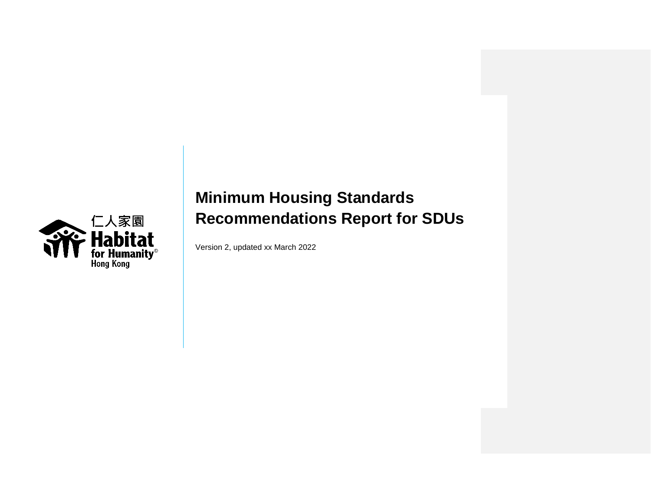

Version 2, updated xx March 2022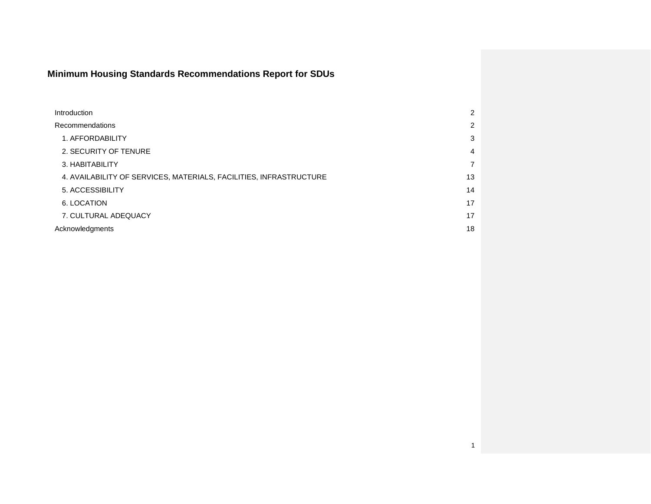| Introduction                                                       | 2              |
|--------------------------------------------------------------------|----------------|
| Recommendations                                                    | 2              |
| 1. AFFORDABILITY                                                   | 3              |
| 2. SECURITY OF TENURE                                              | 4              |
| 3. HABITABILITY                                                    | $\overline{7}$ |
| 4. AVAILABILITY OF SERVICES, MATERIALS, FACILITIES, INFRASTRUCTURE | 13             |
| 5. ACCESSIBILITY                                                   | 14             |
| 6. LOCATION                                                        | 17             |
| 7. CULTURAL ADEQUACY                                               | 17             |
| Acknowledgments                                                    | 18             |
|                                                                    |                |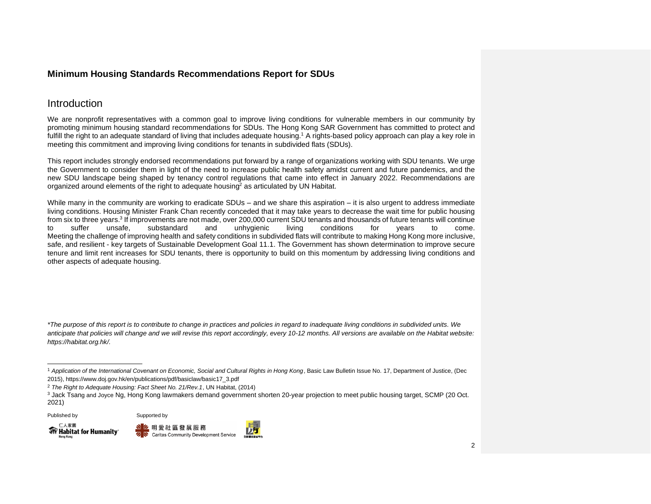## <span id="page-2-0"></span>Introduction

We are nonprofit representatives with a common goal to improve living conditions for vulnerable members in our community by promoting minimum housing standard recommendations for SDUs. The Hong Kong SAR Government has committed to protect and fulfill the right to an adequate standard of living that includes adequate housing.<sup>1</sup> A rights-based policy approach can play a key role in meeting this commitment and improving living conditions for tenants in subdivided flats (SDUs).

This report includes strongly endorsed recommendations put forward by a range of organizations working with SDU tenants. We urge the Government to consider them in light of the need to increase public health safety amidst current and future pandemics, and the new SDU landscape being shaped by tenancy control regulations that came into effect in January 2022. Recommendations are organized around elements of the right to adequate housing<sup>2</sup> as articulated by UN Habitat.

While many in the community are working to eradicate SDUs – and we share this aspiration – it is also urgent to address immediate living conditions. Housing Minister Frank Chan recently conceded that it may take years to decrease the wait time for public housing from six to three years.<sup>3</sup> If improvements are not made, over 200,000 current SDU tenants and thousands of future tenants will continue to suffer unsafe, substandard and unhygienic living conditions for years to come. Meeting the challenge of improving health and safety conditions in subdivided flats will contribute to making Hong Kong more inclusive, safe, and resilient - key targets of Sustainable Development Goal 11.1. The Government has shown determination to improve secure tenure and limit rent increases for SDU tenants, there is opportunity to build on this momentum by addressing living conditions and other aspects of adequate housing.

*\*The purpose of this report is to contribute to change in practices and policies in regard to inadequate living conditions in subdivided units. We anticipate that policies will change and we will revise this report accordingly, every 10-12 months. All versions are available on the Habitat website: https://habitat.org.hk/.*







<sup>1</sup> *Application of the International Covenant on Economic, Social and Cultural Rights in Hong Kong*, Basic Law Bulletin Issue No. 17, Department of Justice, (Dec 2015), https://www.doj.gov.hk/en/publications/pdf/basiclaw/basic17\_3.pdf

<sup>2</sup> *The Right to Adequate Housing: Fact Sheet No. 21/Rev.1*, UN Habitat, (2014)

<sup>3</sup> Jack Tsang and Joyce Ng, Hong Kong lawmakers demand government shorten 20-year projection to meet public housing target, SCMP (20 Oct. 2021)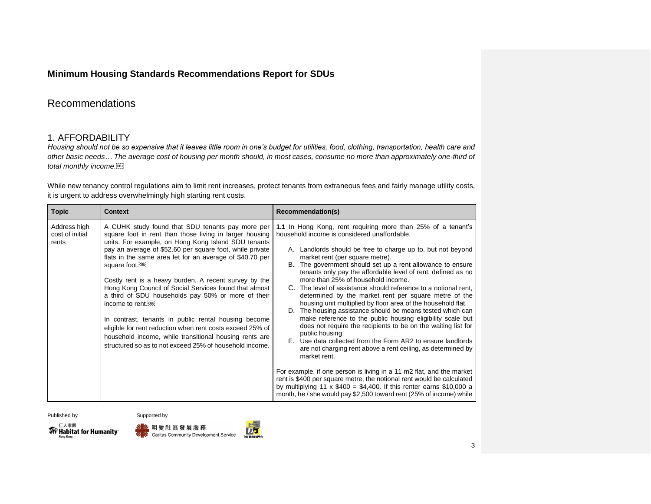# Recommendations

#### <span id="page-3-0"></span>1. AFFORDABILITY

*Housing should not be so expensive that it leaves little room in one's budget for utilities, food, clothing, transportation, health care and other basic needs… The average cost of housing per month should, in most cases, consume no more than approximately one-third of total monthly income.*

While new tenancy control regulations aim to limit rent increases, protect tenants from extraneous fees and fairly manage utility costs, it is urgent to address overwhelmingly high starting rent costs.

| <b>Topic</b>                             | <b>Context</b>                                                                                                                                                                                                                                                                                                                                                                                                                                                                                                                                                                                                                                                                                                                                                       | Recommendation(s)                                                                                                                                                                                                                                                                                                                                                                                                                                                                                                                                                                                                                                                                                                                                                                                                                                                                                                                                                                                                                                                                                                                                                                                                                              |
|------------------------------------------|----------------------------------------------------------------------------------------------------------------------------------------------------------------------------------------------------------------------------------------------------------------------------------------------------------------------------------------------------------------------------------------------------------------------------------------------------------------------------------------------------------------------------------------------------------------------------------------------------------------------------------------------------------------------------------------------------------------------------------------------------------------------|------------------------------------------------------------------------------------------------------------------------------------------------------------------------------------------------------------------------------------------------------------------------------------------------------------------------------------------------------------------------------------------------------------------------------------------------------------------------------------------------------------------------------------------------------------------------------------------------------------------------------------------------------------------------------------------------------------------------------------------------------------------------------------------------------------------------------------------------------------------------------------------------------------------------------------------------------------------------------------------------------------------------------------------------------------------------------------------------------------------------------------------------------------------------------------------------------------------------------------------------|
| Address high<br>cost of initial<br>rents | A CUHK study found that SDU tenants pay more per<br>square foot in rent than those living in larger housing<br>units. For example, on Hong Kong Island SDU tenants<br>pay an average of \$52.60 per square foot, while private<br>flats in the same area let for an average of \$40.70 per<br>square foot. <sup>081</sup><br>Costly rent is a heavy burden. A recent survey by the<br>Hong Kong Council of Social Services found that almost<br>a third of SDU households pay 50% or more of their<br>income to rent [OBJ]<br>In contrast, tenants in public rental housing become<br>eligible for rent reduction when rent costs exceed 25% of<br>household income, while transitional housing rents are<br>structured so as to not exceed 25% of household income. | 1.1 In Hong Kong, rent requiring more than 25% of a tenant's<br>household income is considered unaffordable.<br>A. Landlords should be free to charge up to, but not beyond<br>market rent (per square metre).<br>B. The government should set up a rent allowance to ensure<br>tenants only pay the affordable level of rent, defined as no<br>more than 25% of household income.<br>C. The level of assistance should reference to a notional rent,<br>determined by the market rent per square metre of the<br>housing unit multiplied by floor area of the household flat.<br>D. The housing assistance should be means tested which can<br>make reference to the public housing eligibility scale but<br>does not require the recipients to be on the waiting list for<br>public housing.<br>E. Use data collected from the Form AR2 to ensure landlords<br>are not charging rent above a rent ceiling, as determined by<br>market rent.<br>For example, if one person is living in a 11 m2 flat, and the market<br>rent is \$400 per square metre, the notional rent would be calculated<br>by multiplying 11 x $$400 = $4,400$ . If this renter earns \$10,000 a<br>month, he / she would pay \$2,500 toward rent (25% of income) while |

#### Published by Supported by



<mark>、 么</mark> 明 愛 社 區 發 展 服 務 **2 N** Caritas Community Development Service

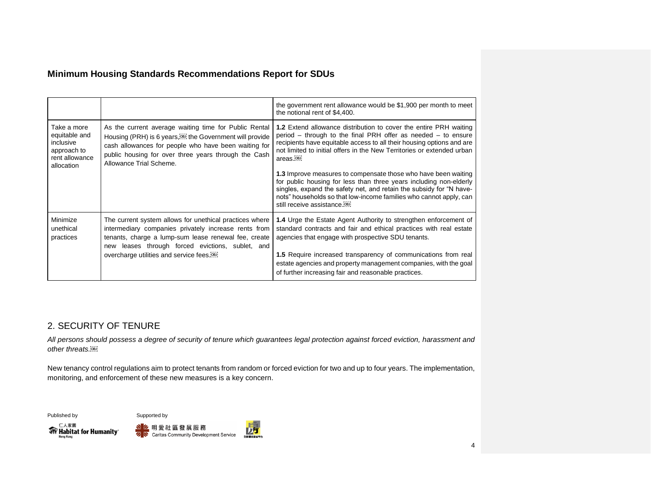|                                                                                          |                                                                                                                                                                                                                                                                            | the government rent allowance would be \$1,900 per month to meet<br>the notional rent of \$4,400.                                                                                                                                                                                                                              |
|------------------------------------------------------------------------------------------|----------------------------------------------------------------------------------------------------------------------------------------------------------------------------------------------------------------------------------------------------------------------------|--------------------------------------------------------------------------------------------------------------------------------------------------------------------------------------------------------------------------------------------------------------------------------------------------------------------------------|
| Take a more<br>equitable and<br>inclusive<br>approach to<br>rent allowance<br>allocation | As the current average waiting time for Public Rental<br>Housing (PRH) is 6 years, <b>Example 1</b> the Government will provide<br>cash allowances for people who have been waiting for<br>public housing for over three years through the Cash<br>Allowance Trial Scheme. | <b>1.2</b> Extend allowance distribution to cover the entire PRH waiting<br>period $-$ through to the final PRH offer as needed $-$ to ensure<br>recipients have equitable access to all their housing options and are<br>not limited to initial offers in the New Territories or extended urban<br>areas. <sup>[OBJ]</sup>    |
|                                                                                          |                                                                                                                                                                                                                                                                            | 1.3 Improve measures to compensate those who have been waiting<br>for public housing for less than three years including non-elderly<br>singles, expand the safety net, and retain the subsidy for "N have-<br>nots" households so that low-income families who cannot apply, can<br>still receive assistance. <sup>[08]</sup> |
| Minimize<br>unethical<br>practices                                                       | The current system allows for unethical practices where<br>intermediary companies privately increase rents from<br>tenants, charge a lump-sum lease renewal fee, create<br>new leases through forced evictions, sublet, and                                                | 1.4 Urge the Estate Agent Authority to strengthen enforcement of<br>standard contracts and fair and ethical practices with real estate<br>agencies that engage with prospective SDU tenants.                                                                                                                                   |
|                                                                                          | overcharge utilities and service fees. <sup>[08]</sup>                                                                                                                                                                                                                     | 1.5 Require increased transparency of communications from real<br>estate agencies and property management companies, with the goal<br>of further increasing fair and reasonable practices.                                                                                                                                     |

# <span id="page-4-0"></span>2. SECURITY OF TENURE

*All persons should possess a degree of security of tenure which guarantees legal protection against forced eviction, harassment and other threats.*

New tenancy control regulations aim to protect tenants from random or forced eviction for two and up to four years. The implementation, monitoring, and enforcement of these new measures is a key concern.





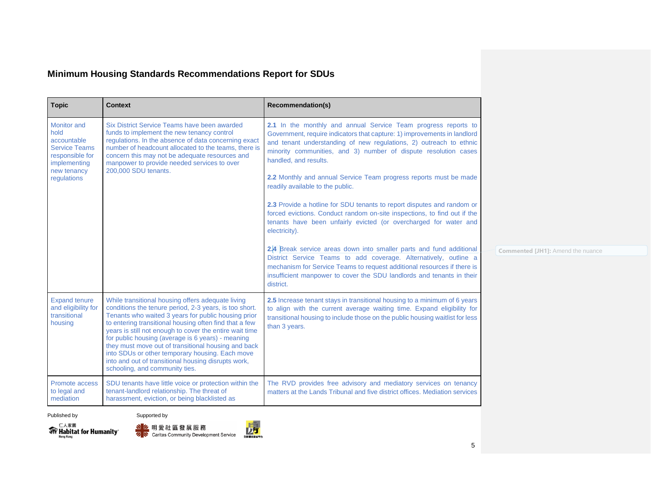| <b>Topic</b>                                                                                                                       | <b>Context</b>                                                                                                                                                                                                                                                                                                                                                                                                                                                                                                                                  | Recommendation(s)                                                                                                                                                                                                                                                                                                                                                                                                                                                                                                                                                                                                                                                                                                                                                                                                                                                                                                                                                            |                                   |
|------------------------------------------------------------------------------------------------------------------------------------|-------------------------------------------------------------------------------------------------------------------------------------------------------------------------------------------------------------------------------------------------------------------------------------------------------------------------------------------------------------------------------------------------------------------------------------------------------------------------------------------------------------------------------------------------|------------------------------------------------------------------------------------------------------------------------------------------------------------------------------------------------------------------------------------------------------------------------------------------------------------------------------------------------------------------------------------------------------------------------------------------------------------------------------------------------------------------------------------------------------------------------------------------------------------------------------------------------------------------------------------------------------------------------------------------------------------------------------------------------------------------------------------------------------------------------------------------------------------------------------------------------------------------------------|-----------------------------------|
| <b>Monitor and</b><br>hold<br>accountable<br><b>Service Teams</b><br>responsible for<br>implementing<br>new tenancy<br>regulations | Six District Service Teams have been awarded<br>funds to implement the new tenancy control<br>regulations. In the absence of data concerning exact<br>number of headcount allocated to the teams, there is<br>concern this may not be adequate resources and<br>manpower to provide needed services to over<br>200,000 SDU tenants.                                                                                                                                                                                                             | 2.1 In the monthly and annual Service Team progress reports to<br>Government, require indicators that capture: 1) improvements in landlord<br>and tenant understanding of new regulations, 2) outreach to ethnic<br>minority communities, and 3) number of dispute resolution cases<br>handled, and results.<br>2.2 Monthly and annual Service Team progress reports must be made<br>readily available to the public.<br>2.3 Provide a hotline for SDU tenants to report disputes and random or<br>forced evictions. Conduct random on-site inspections, to find out if the<br>tenants have been unfairly evicted (or overcharged for water and<br>electricity).<br>2.4 Break service areas down into smaller parts and fund additional<br>District Service Teams to add coverage. Alternatively, outline a<br>mechanism for Service Teams to request additional resources if there is<br>insufficient manpower to cover the SDU landlords and tenants in their<br>district. | Commented [JH1]: Amend the nuance |
| <b>Expand tenure</b><br>and eligibility for<br>transitional<br>housing                                                             | While transitional housing offers adequate living<br>conditions the tenure period, 2-3 years, is too short.<br>Tenants who waited 3 years for public housing prior<br>to entering transitional housing often find that a few<br>years is still not enough to cover the entire wait time<br>for public housing (average is 6 years) - meaning<br>they must move out of transitional housing and back<br>into SDUs or other temporary housing. Each move<br>into and out of transitional housing disrupts work,<br>schooling, and community ties. | 2.5 Increase tenant stays in transitional housing to a minimum of 6 years<br>to align with the current average waiting time. Expand eligibility for<br>transitional housing to include those on the public housing waitlist for less<br>than 3 years.                                                                                                                                                                                                                                                                                                                                                                                                                                                                                                                                                                                                                                                                                                                        |                                   |
| Promote access<br>to legal and<br>mediation                                                                                        | SDU tenants have little voice or protection within the<br>tenant-landlord relationship. The threat of<br>harassment, eviction, or being blacklisted as                                                                                                                                                                                                                                                                                                                                                                                          | The RVD provides free advisory and mediatory services on tenancy<br>matters at the Lands Tribunal and five district offices. Mediation services                                                                                                                                                                                                                                                                                                                                                                                                                                                                                                                                                                                                                                                                                                                                                                                                                              |                                   |
| Published by                                                                                                                       | Supported by                                                                                                                                                                                                                                                                                                                                                                                                                                                                                                                                    |                                                                                                                                                                                                                                                                                                                                                                                                                                                                                                                                                                                                                                                                                                                                                                                                                                                                                                                                                                              |                                   |



<mark>I 么</mark> 明愛社區發展服務<br>ク<mark>I</mark>C Caritas Community Development Service



5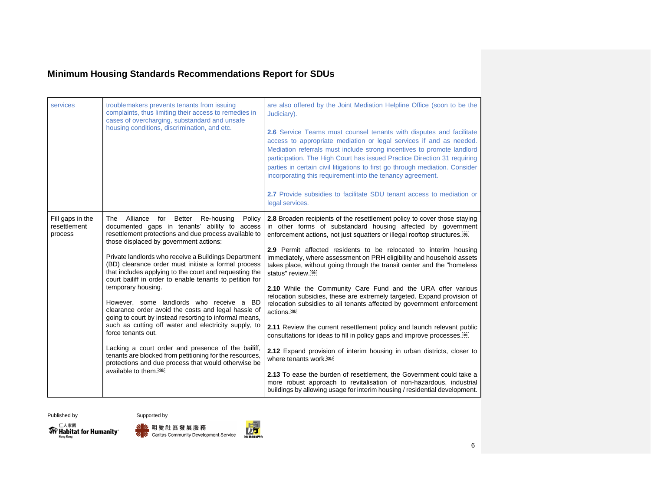| services                                    | troublemakers prevents tenants from issuing<br>complaints, thus limiting their access to remedies in<br>cases of overcharging, substandard and unsafe<br>housing conditions, discrimination, and etc.                                                                                                                                                                                                                                                                                                                                                                                                                                                                                                                                                                                                                                                                                                                         | are also offered by the Joint Mediation Helpline Office (soon to be the<br>Judiciary).<br>2.6 Service Teams must counsel tenants with disputes and facilitate<br>access to appropriate mediation or legal services if and as needed.<br>Mediation referrals must include strong incentives to promote landlord<br>participation. The High Court has issued Practice Direction 31 requiring<br>parties in certain civil litigations to first go through mediation. Consider<br>incorporating this requirement into the tenancy agreement.<br><b>2.7</b> Provide subsidies to facilitate SDU tenant access to mediation or<br>legal services.                                                                                                                                                                                                                                                                                                                                                                                                                                                                                                                                                                                                     |
|---------------------------------------------|-------------------------------------------------------------------------------------------------------------------------------------------------------------------------------------------------------------------------------------------------------------------------------------------------------------------------------------------------------------------------------------------------------------------------------------------------------------------------------------------------------------------------------------------------------------------------------------------------------------------------------------------------------------------------------------------------------------------------------------------------------------------------------------------------------------------------------------------------------------------------------------------------------------------------------|-------------------------------------------------------------------------------------------------------------------------------------------------------------------------------------------------------------------------------------------------------------------------------------------------------------------------------------------------------------------------------------------------------------------------------------------------------------------------------------------------------------------------------------------------------------------------------------------------------------------------------------------------------------------------------------------------------------------------------------------------------------------------------------------------------------------------------------------------------------------------------------------------------------------------------------------------------------------------------------------------------------------------------------------------------------------------------------------------------------------------------------------------------------------------------------------------------------------------------------------------|
| Fill gaps in the<br>resettlement<br>process | Alliance<br>for Better<br>Re-housing<br>Policy<br>The<br>documented gaps in tenants' ability to access<br>resettlement protections and due process available to<br>those displaced by government actions:<br>Private landlords who receive a Buildings Department<br>(BD) clearance order must initiate a formal process<br>that includes applying to the court and requesting the<br>court bailiff in order to enable tenants to petition for<br>temporary housing.<br>However, some landlords who receive a BD<br>clearance order avoid the costs and legal hassle of<br>going to court by instead resorting to informal means,<br>such as cutting off water and electricity supply, to<br>force tenants out.<br>Lacking a court order and presence of the bailiff,<br>tenants are blocked from petitioning for the resources,<br>protections and due process that would otherwise be<br>available to them. <sup>[08]</sup> | <b>2.8</b> Broaden recipients of the resettlement policy to cover those staying<br>in other forms of substandard housing affected by government<br>enforcement actions, not just squatters or illegal rooftop structures. <sup>[68]</sup><br>2.9 Permit affected residents to be relocated to interim housing<br>immediately, where assessment on PRH eligibility and household assets<br>takes place, without going through the transit center and the "homeless<br>status" review.[0B]<br>2.10 While the Community Care Fund and the URA offer various<br>relocation subsidies, these are extremely targeted. Expand provision of<br>relocation subsidies to all tenants affected by government enforcement<br>actions. <sup>[0BJ]</sup><br>2.11 Review the current resettlement policy and launch relevant public<br>consultations for ideas to fill in policy gaps and improve processes. <sup>[08]</sup><br>2.12 Expand provision of interim housing in urban districts, closer to<br>where tenants work.[08]<br>2.13 To ease the burden of resettlement, the Government could take a<br>more robust approach to revitalisation of non-hazardous, industrial<br>buildings by allowing usage for interim housing / residential development. |





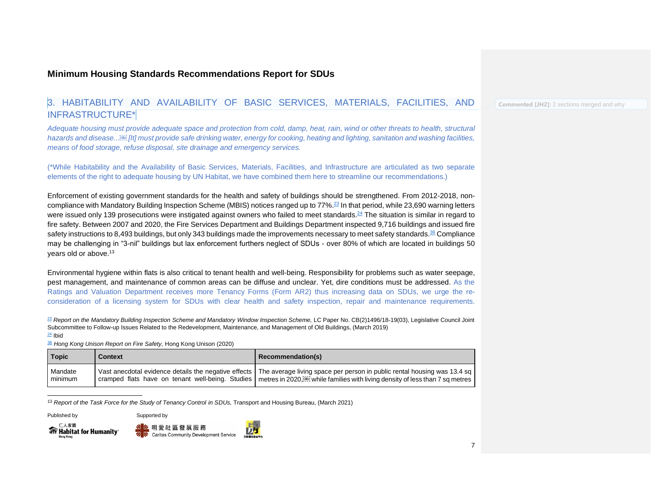#### <span id="page-7-0"></span>3. HABITABILITY AND AVAILABILITY OF BASIC SERVICES, MATERIALS, FACILITIES, AND INFRASTRUCTURE\*

*Adequate housing must provide adequate space and protection from cold, damp, heat, rain, wind or other threats to health, structural hazards and disease... [It] must provide safe drinking water, energy for cooking, heating and lighting, sanitation and washing facilities, means of food storage, refuse disposal, site drainage and emergency services.*

(\*While Habitability and the Availability of Basic Services, Materials, Facilities, and Infrastructure are articulated as two separate elements of the right to adequate housing by UN Habitat, we have combined them here to streamline our recommendations.)

Enforcement of existing government standards for the health and safety of buildings should be strengthened. From 2012-2018, non-compliance with Mandatory Building Inspection Scheme (MBIS) notices ranged up to 77%.<sup>[23](https://word-edit.officeapps.live.com/we/wordeditorframe.aspx?ui=en%2DUS&rs=en%2DUS&wopisrc=https%3A%2F%2Fhabitathongkong.sharepoint.com%2F_vti_bin%2Fwopi.ashx%2Ffiles%2F125f226d2f3a48abaa89171eaeca2633&wdenableroaming=1&mscc=1&hid=C3D333A0-20C5-1000-222B-66905B7B30FF&wdorigin=ItemsView&wdhostclicktime=1649989870527&jsapi=1&jsapiver=v1&newsession=1&corrid=e946efc1-d2e7-4641-a560-147f7ca42713&usid=e946efc1-d2e7-4641-a560-147f7ca42713&sftc=1&mtf=1&sfp=1&instantedit=1&wopicomplete=1&wdredirectionreason=Unified_SingleFlush&rct=Medium&ctp=LeastProtected#_ftn1)</sup> In that period, while 23,690 warning letters were issued only 139 prosecutions were instigated against owners who failed to meet standards.<sup>[24](https://word-edit.officeapps.live.com/we/wordeditorframe.aspx?ui=en%2DUS&rs=en%2DUS&wopisrc=https%3A%2F%2Fhabitathongkong.sharepoint.com%2F_vti_bin%2Fwopi.ashx%2Ffiles%2F125f226d2f3a48abaa89171eaeca2633&wdenableroaming=1&mscc=1&hid=C3D333A0-20C5-1000-222B-66905B7B30FF&wdorigin=ItemsView&wdhostclicktime=1649989870527&jsapi=1&jsapiver=v1&newsession=1&corrid=e946efc1-d2e7-4641-a560-147f7ca42713&usid=e946efc1-d2e7-4641-a560-147f7ca42713&sftc=1&mtf=1&sfp=1&instantedit=1&wopicomplete=1&wdredirectionreason=Unified_SingleFlush&rct=Medium&ctp=LeastProtected#_ftn2)</sup> The situation is similar in regard to fire safety. Between 2007 and 2020, the Fire Services Department and Buildings Department inspected 9,716 buildings and issued fire safety instructions to 8,493 buildings, but only 343 buildings made the improvements necessary to meet safety standards.<sup>[36](https://word-edit.officeapps.live.com/we/wordeditorframe.aspx?ui=en%2DUS&rs=en%2DUS&wopisrc=https%3A%2F%2Fhabitathongkong.sharepoint.com%2F_vti_bin%2Fwopi.ashx%2Ffiles%2F125f226d2f3a48abaa89171eaeca2633&wdenableroaming=1&mscc=1&hid=C3D333A0-20C5-1000-222B-66905B7B30FF&wdorigin=ItemsView&wdhostclicktime=1649989870527&jsapi=1&jsapiver=v1&newsession=1&corrid=e946efc1-d2e7-4641-a560-147f7ca42713&usid=e946efc1-d2e7-4641-a560-147f7ca42713&sftc=1&mtf=1&sfp=1&instantedit=1&wopicomplete=1&wdredirectionreason=Unified_SingleFlush&rct=Medium&ctp=LeastProtected#_ftn3)</sup> Compliance may be challenging in "3-nil" buildings but lax enforcement furthers neglect of SDUs - over 80% of which are located in buildings 50 years old or above.<sup>13</sup>

Environmental hygiene within flats is also critical to tenant health and well-being. Responsibility for problems such as water seepage, pest management, and maintenance of common areas can be diffuse and unclear. Yet, dire conditions must be addressed. As the Ratings and Valuation Department receives more Tenancy Forms (Form AR2) thus increasing data on SDUs, we urge the reconsideration of a licensing system for SDUs with clear health and safety inspection, repair and maintenance requirements.

<sup>[23](https://word-edit.officeapps.live.com/we/wordeditorframe.aspx?ui=en%2DUS&rs=en%2DUS&wopisrc=https%3A%2F%2Fhabitathongkong.sharepoint.com%2F_vti_bin%2Fwopi.ashx%2Ffiles%2F125f226d2f3a48abaa89171eaeca2633&wdenableroaming=1&mscc=1&hid=C3D333A0-20C5-1000-222B-66905B7B30FF&wdorigin=ItemsView&wdhostclicktime=1649989870527&jsapi=1&jsapiver=v1&newsession=1&corrid=e946efc1-d2e7-4641-a560-147f7ca42713&usid=e946efc1-d2e7-4641-a560-147f7ca42713&sftc=1&mtf=1&sfp=1&instantedit=1&wopicomplete=1&wdredirectionreason=Unified_SingleFlush&rct=Medium&ctp=LeastProtected#_ftnref1)</sup> Report on the Mandatory Building Inspection Scheme and Mandatory Window Inspection Scheme, LC Paper No. CB(2)1496/18-19(03), Legislative Council Joint Subcommittee to Follow-up Issues Related to the Redevelopment, Maintenance, and Management of Old Buildings, (March 2019)  $24$  Ibid

[36](https://word-edit.officeapps.live.com/we/wordeditorframe.aspx?ui=en%2DUS&rs=en%2DUS&wopisrc=https%3A%2F%2Fhabitathongkong.sharepoint.com%2F_vti_bin%2Fwopi.ashx%2Ffiles%2F125f226d2f3a48abaa89171eaeca2633&wdenableroaming=1&mscc=1&hid=C3D333A0-20C5-1000-222B-66905B7B30FF&wdorigin=ItemsView&wdhostclicktime=1649989870527&jsapi=1&jsapiver=v1&newsession=1&corrid=e946efc1-d2e7-4641-a560-147f7ca42713&usid=e946efc1-d2e7-4641-a560-147f7ca42713&sftc=1&mtf=1&sfp=1&instantedit=1&wopicomplete=1&wdredirectionreason=Unified_SingleFlush&rct=Medium&ctp=LeastProtected#_ftnref3) *Hong Kong Unison Report on Fire Safety,* Hong Kong Unison (2020)

| Topic              | <b>Context</b> | <b>Recommendation(s)</b>                                                                                                                                                                                                                                                   |
|--------------------|----------------|----------------------------------------------------------------------------------------------------------------------------------------------------------------------------------------------------------------------------------------------------------------------------|
| Mandate<br>minimum |                | Vast anecdotal evidence details the negative effects   The average living space per person in public rental housing was 13.4 sq<br>I cramped flats have on tenant well-being. Studies   metres in 2020, [69] while families with living density of less than 7 sq metres I |

<sup>13</sup> Report of the Task Force for the Study of Tenancy Control in SDUs, Transport and Housing Bureau, (March 2021)

Published by Supported by

仁人家園 **Write Habitat for Humanity** 



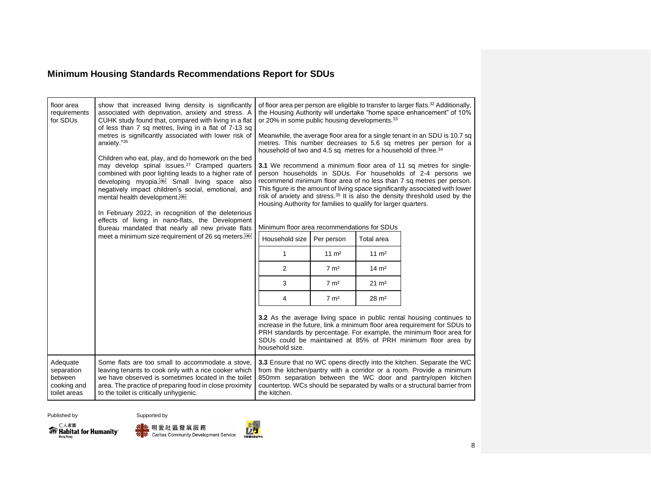| floor area<br>requirements<br>for SDUs                           | show that increased living density is significantly<br>associated with deprivation, anxiety and stress. A<br>CUHK study found that, compared with living in a flat<br>of less than 7 sq metres, living in a flat of 7-13 sq<br>metres is significantly associated with lower risk of<br>anxiety."26<br>Children who eat, play, and do homework on the bed<br>may develop spinal issues. <sup>27</sup> Cramped quarters<br>combined with poor lighting leads to a higher rate of<br>developing myopia. <sup>[08]</sup> Small living space also<br>negatively impact children's social, emotional, and<br>mental health development. <sup>[68]</sup><br>In February 2022, in recognition of the deleterious<br>effects of living in nano-flats, the Development<br>Bureau mandated that nearly all new private flats<br>meet a minimum size requirement of 26 sq meters. <sup>[08]</sup> | or 20% in some public housing developments. <sup>33</sup><br>household of two and 4.5 sq metres for a household of three. <sup>34</sup><br>Housing Authority for families to qualify for larger quarters.<br>Minimum floor area recommendations for SDUs<br>Household size<br>$\mathbf{1}$<br>2<br>3<br>4 | Per person<br>$11 \text{ m}^2$<br>$7 \text{ m}^2$<br>$7 \text{ m}^2$<br>$7 \text{ m}^2$ | Total area<br>$11 \text{ m}^2$<br>$14 \text{ m}^2$<br>$21 \text{ m}^2$<br>$28 \text{ m}^2$ | of floor area per person are eligible to transfer to larger flats. <sup>32</sup> Additionally,<br>the Housing Authority will undertake "home space enhancement" of 10%<br>Meanwhile, the average floor area for a single tenant in an SDU is 10.7 sq<br>metres. This number decreases to 5.6 sq metres per person for a<br>3.1 We recommend a minimum floor area of 11 sq metres for single-<br>person households in SDUs. For households of 2-4 persons we<br>recommend minimum floor area of no less than 7 sq metres per person.<br>This figure is the amount of living space significantly associated with lower<br>risk of anxiety and stress. <sup>35</sup> It is also the density threshold used by the |
|------------------------------------------------------------------|----------------------------------------------------------------------------------------------------------------------------------------------------------------------------------------------------------------------------------------------------------------------------------------------------------------------------------------------------------------------------------------------------------------------------------------------------------------------------------------------------------------------------------------------------------------------------------------------------------------------------------------------------------------------------------------------------------------------------------------------------------------------------------------------------------------------------------------------------------------------------------------|-----------------------------------------------------------------------------------------------------------------------------------------------------------------------------------------------------------------------------------------------------------------------------------------------------------|-----------------------------------------------------------------------------------------|--------------------------------------------------------------------------------------------|----------------------------------------------------------------------------------------------------------------------------------------------------------------------------------------------------------------------------------------------------------------------------------------------------------------------------------------------------------------------------------------------------------------------------------------------------------------------------------------------------------------------------------------------------------------------------------------------------------------------------------------------------------------------------------------------------------------|
|                                                                  |                                                                                                                                                                                                                                                                                                                                                                                                                                                                                                                                                                                                                                                                                                                                                                                                                                                                                        | household size.                                                                                                                                                                                                                                                                                           |                                                                                         |                                                                                            | 3.2 As the average living space in public rental housing continues to<br>increase in the future, link a minimum floor area requirement for SDUs to<br>PRH standards by percentage. For example, the minimum floor area for<br>SDUs could be maintained at 85% of PRH minimum floor area by                                                                                                                                                                                                                                                                                                                                                                                                                     |
| Adequate<br>separation<br>between<br>cooking and<br>toilet areas | Some flats are too small to accommodate a stove,<br>leaving tenants to cook only with a rice cooker which<br>we have observed is sometimes located in the toilet<br>area. The practice of preparing food in close proximity<br>to the toilet is critically unhygienic.                                                                                                                                                                                                                                                                                                                                                                                                                                                                                                                                                                                                                 | the kitchen.                                                                                                                                                                                                                                                                                              |                                                                                         |                                                                                            | 3.3 Ensure that no WC opens directly into the kitchen. Separate the WC<br>from the kitchen/pantry with a corridor or a room. Provide a minimum<br>850mm separation between the WC door and pantry/open kitchen<br>countertop. WCs should be separated by walls or a structural barrier from                                                                                                                                                                                                                                                                                                                                                                                                                    |





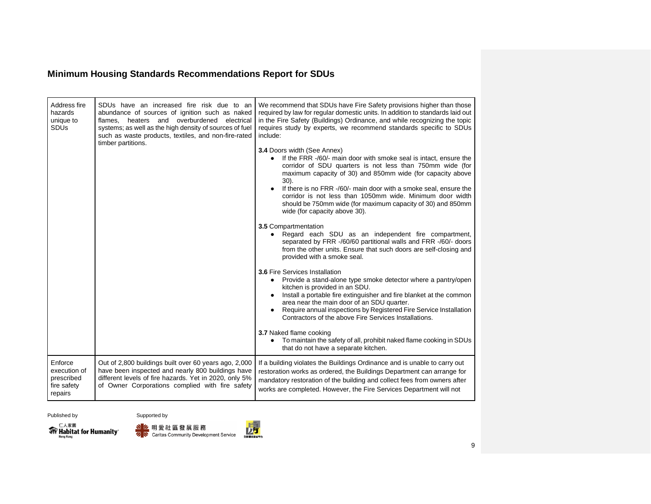| Address fire<br>hazards<br>unique to<br><b>SDUs</b>             | SDUs have an increased fire risk due to an<br>abundance of sources of ignition such as naked<br>flames, heaters and overburdened<br>electrical<br>systems; as well as the high density of sources of fuel<br>such as waste products, textiles, and non-fire-rated<br>timber partitions. | We recommend that SDUs have Fire Safety provisions higher than those<br>required by law for regular domestic units. In addition to standards laid out<br>in the Fire Safety (Buildings) Ordinance, and while recognizing the topic<br>requires study by experts, we recommend standards specific to SDUs<br>include:<br>3.4 Doors width (See Annex)<br>If the FRR -/60/- main door with smoke seal is intact, ensure the<br>$\bullet$<br>corridor of SDU quarters is not less than 750mm wide (for<br>maximum capacity of 30) and 850mm wide (for capacity above<br>$30$ ).<br>If there is no FRR -/60/- main door with a smoke seal, ensure the<br>corridor is not less than 1050mm wide. Minimum door width<br>should be 750mm wide (for maximum capacity of 30) and 850mm<br>wide (for capacity above 30).<br>3.5 Compartmentation<br>Regard each SDU as an independent fire compartment,<br>separated by FRR -/60/60 partitional walls and FRR -/60/- doors<br>from the other units. Ensure that such doors are self-closing and<br>provided with a smoke seal.<br><b>3.6 Fire Services Installation</b><br>Provide a stand-alone type smoke detector where a pantry/open<br>kitchen is provided in an SDU.<br>Install a portable fire extinguisher and fire blanket at the common<br>area near the main door of an SDU quarter.<br>Require annual inspections by Registered Fire Service Installation<br>Contractors of the above Fire Services Installations.<br>3.7 Naked flame cooking<br>To maintain the safety of all, prohibit naked flame cooking in SDUs<br>that do not have a separate kitchen. |
|-----------------------------------------------------------------|-----------------------------------------------------------------------------------------------------------------------------------------------------------------------------------------------------------------------------------------------------------------------------------------|---------------------------------------------------------------------------------------------------------------------------------------------------------------------------------------------------------------------------------------------------------------------------------------------------------------------------------------------------------------------------------------------------------------------------------------------------------------------------------------------------------------------------------------------------------------------------------------------------------------------------------------------------------------------------------------------------------------------------------------------------------------------------------------------------------------------------------------------------------------------------------------------------------------------------------------------------------------------------------------------------------------------------------------------------------------------------------------------------------------------------------------------------------------------------------------------------------------------------------------------------------------------------------------------------------------------------------------------------------------------------------------------------------------------------------------------------------------------------------------------------------------------------------------------------------------------------------------------------------------|
| Enforce<br>execution of<br>prescribed<br>fire safety<br>repairs | Out of 2,800 buildings built over 60 years ago, 2,000<br>have been inspected and nearly 800 buildings have<br>different levels of fire hazards. Yet in 2020, only 5%<br>of Owner Corporations complied with fire safety                                                                 | If a building violates the Buildings Ordinance and is unable to carry out<br>restoration works as ordered, the Buildings Department can arrange for<br>mandatory restoration of the building and collect fees from owners after<br>works are completed. However, the Fire Services Department will not                                                                                                                                                                                                                                                                                                                                                                                                                                                                                                                                                                                                                                                                                                                                                                                                                                                                                                                                                                                                                                                                                                                                                                                                                                                                                                        |





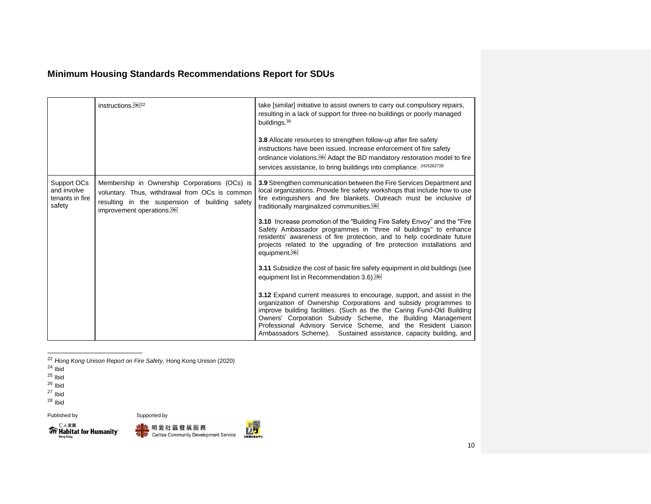|                                                         | instructions. <sup>08J22</sup>                                                                                                                                                               | take [similar] initiative to assist owners to carry out compulsory repairs,<br>resulting in a lack of support for three-no buildings or poorly managed<br>buildings. <sup>38</sup>                                                                                                                                                                                                                                        |
|---------------------------------------------------------|----------------------------------------------------------------------------------------------------------------------------------------------------------------------------------------------|---------------------------------------------------------------------------------------------------------------------------------------------------------------------------------------------------------------------------------------------------------------------------------------------------------------------------------------------------------------------------------------------------------------------------|
|                                                         |                                                                                                                                                                                              | 3.8 Allocate resources to strengthen follow-up after fire safety<br>instructions have been issued. Increase enforcement of fire safety<br>ordinance violations. <sup>[68]</sup> Adapt the BD mandatory restoration model to fire<br>services assistance, to bring buildings into compliance. 2425262728                                                                                                                   |
| Support OCs<br>and involve<br>tenants in fire<br>safety | Membership in Ownership Corporations (OCs) is<br>voluntary. Thus, withdrawal from OCs is common<br>resulting in the suspension of building safety<br>improvement operations. <sup>[08]</sup> | 3.9 Strengthen communication between the Fire Services Department and<br>local organizations. Provide fire safety workshops that include how to use<br>fire extinguishers and fire blankets. Outreach must be inclusive of<br>traditionally marginalized communities. <sup>[68]</sup>                                                                                                                                     |
|                                                         |                                                                                                                                                                                              | 3.10 Increase promotion of the "Building Fire Safety Envoy" and the "Fire"<br>Safety Ambassador programmes in "three nil buildings" to enhance<br>residents' awareness of fire protection, and to help coordinate future<br>projects related to the upgrading of fire protection installations and<br>equipment. <sup>[08]</sup>                                                                                          |
|                                                         |                                                                                                                                                                                              | 3.11 Subsidize the cost of basic fire safety equipment in old buildings (see<br>equipment list in Recommendation 3.6).                                                                                                                                                                                                                                                                                                    |
|                                                         |                                                                                                                                                                                              | 3.12 Expand current measures to encourage, support, and assist in the<br>organization of Ownership Corporations and subsidy programmes to<br>improve building facilities. (Such as the the Caring Fund-Old Building<br>Owners' Corporation Subsidy Scheme, the Building Management<br>Professional Advisory Service Scheme, and the Resident Liaison<br>Ambassadors Scheme). Sustained assistance, capacity building, and |

<sup>22</sup> *Hong Kong Unison Report on Fire Safety,* Hong Kong Unison (2020)

<sup>24</sup> Ibid

<sup>25</sup> Ibid

<sup>26</sup> Ibid

<sup>27</sup> Ibid

 $28$  Ibid





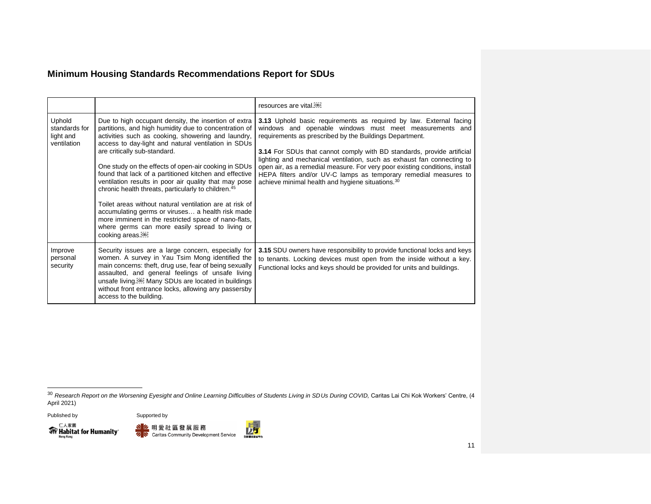|                                                     |                                                                                                                                                                                                                                                                                                                                                                                                                                                                                                                                                                                                                                                                                                                                                                     | resources are vital. <sup>[08]</sup>                                                                                                                                                                                                                                                                                                                                                                                                                                                                                                                                   |
|-----------------------------------------------------|---------------------------------------------------------------------------------------------------------------------------------------------------------------------------------------------------------------------------------------------------------------------------------------------------------------------------------------------------------------------------------------------------------------------------------------------------------------------------------------------------------------------------------------------------------------------------------------------------------------------------------------------------------------------------------------------------------------------------------------------------------------------|------------------------------------------------------------------------------------------------------------------------------------------------------------------------------------------------------------------------------------------------------------------------------------------------------------------------------------------------------------------------------------------------------------------------------------------------------------------------------------------------------------------------------------------------------------------------|
| Uphold<br>standards for<br>light and<br>ventilation | Due to high occupant density, the insertion of extra<br>partitions, and high humidity due to concentration of<br>activities such as cooking, showering and laundry,<br>access to day-light and natural ventilation in SDUs<br>are critically sub-standard.<br>One study on the effects of open-air cooking in SDUs<br>found that lack of a partitioned kitchen and effective<br>ventilation results in poor air quality that may pose<br>chronic health threats, particularly to children. <sup>45</sup><br>Toilet areas without natural ventilation are at risk of<br>accumulating germs or viruses a health risk made<br>more imminent in the restricted space of nano-flats,<br>where germs can more easily spread to living or<br>cooking areas. <sup>687</sup> | 3.13 Uphold basic requirements as required by law. External facing<br>windows and openable windows must meet measurements and<br>requirements as prescribed by the Buildings Department.<br><b>3.14</b> For SDUs that cannot comply with BD standards, provide artificial<br>lighting and mechanical ventilation, such as exhaust fan connecting to<br>open air, as a remedial measure. For very poor existing conditions, install<br>HEPA filters and/or UV-C lamps as temporary remedial measures to<br>achieve minimal health and hygiene situations. <sup>30</sup> |
| Improve<br>personal<br>security                     | Security issues are a large concern, especially for<br>women. A survey in Yau Tsim Mong identified the<br>main concerns: theft, drug use, fear of being sexually<br>assaulted, and general feelings of unsafe living<br>unsafe living. <sup>[66]</sup> Many SDUs are located in buildings<br>without front entrance locks, allowing any passersby<br>access to the building.                                                                                                                                                                                                                                                                                                                                                                                        | 3.15 SDU owners have responsibility to provide functional locks and keys<br>to tenants. Locking devices must open from the inside without a key.<br>Functional locks and keys should be provided for units and buildings.                                                                                                                                                                                                                                                                                                                                              |







<sup>&</sup>lt;sup>30</sup> Research Report on the Worsening Eyesight and Online Learning Difficulties of Students Living in SDUs During COVID, Caritas Lai Chi Kok Workers' Centre, (4 April 2021)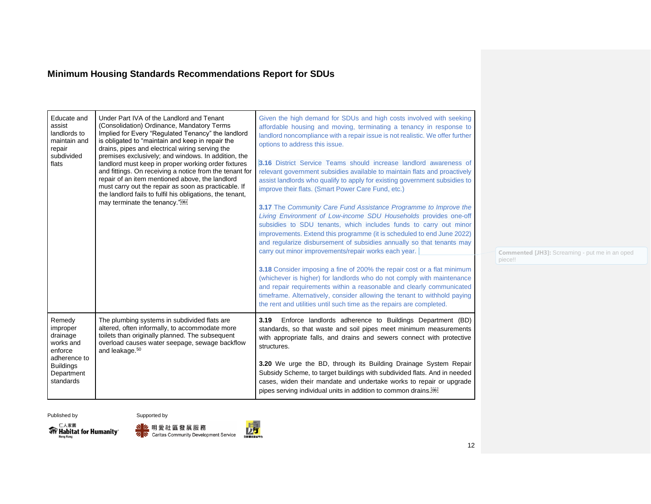| Educate and<br>assist<br>landlords to<br>maintain and<br>repair<br>subdivided<br>flats                                | Under Part IVA of the Landlord and Tenant<br>(Consolidation) Ordinance, Mandatory Terms<br>Implied for Every "Regulated Tenancy" the landlord<br>is obligated to "maintain and keep in repair the<br>drains, pipes and electrical wiring serving the<br>premises exclusively; and windows. In addition, the<br>landlord must keep in proper working order fixtures<br>and fittings. On receiving a notice from the tenant for<br>repair of an item mentioned above, the landlord<br>must carry out the repair as soon as practicable. If<br>the landlord fails to fulfil his obligations, the tenant,<br>may terminate the tenancy." <sup>681</sup> | Given the high demand for SDUs and high costs involved with seeking<br>affordable housing and moving, terminating a tenancy in response to<br>landlord noncompliance with a repair issue is not realistic. We offer further<br>options to address this issue.<br>3.16 District Service Teams should increase landlord awareness of<br>relevant government subsidies available to maintain flats and proactively<br>assist landlords who qualify to apply for existing government subsidies to<br>improve their flats. (Smart Power Care Fund, etc.)<br>3.17 The Community Care Fund Assistance Programme to Improve the<br>Living Environment of Low-income SDU Households provides one-off<br>subsidies to SDU tenants, which includes funds to carry out minor<br>improvements. Extend this programme (it is scheduled to end June 2022)<br>and regularize disbursement of subsidies annually so that tenants may<br>carry out minor improvements/repair works each year. | <b>Commented [JH3]:</b><br>piece!! |
|-----------------------------------------------------------------------------------------------------------------------|-----------------------------------------------------------------------------------------------------------------------------------------------------------------------------------------------------------------------------------------------------------------------------------------------------------------------------------------------------------------------------------------------------------------------------------------------------------------------------------------------------------------------------------------------------------------------------------------------------------------------------------------------------|-----------------------------------------------------------------------------------------------------------------------------------------------------------------------------------------------------------------------------------------------------------------------------------------------------------------------------------------------------------------------------------------------------------------------------------------------------------------------------------------------------------------------------------------------------------------------------------------------------------------------------------------------------------------------------------------------------------------------------------------------------------------------------------------------------------------------------------------------------------------------------------------------------------------------------------------------------------------------------|------------------------------------|
|                                                                                                                       |                                                                                                                                                                                                                                                                                                                                                                                                                                                                                                                                                                                                                                                     | 3.18 Consider imposing a fine of 200% the repair cost or a flat minimum<br>(whichever is higher) for landlords who do not comply with maintenance<br>and repair requirements within a reasonable and clearly communicated<br>timeframe. Alternatively, consider allowing the tenant to withhold paying<br>the rent and utilities until such time as the repairs are completed.                                                                                                                                                                                                                                                                                                                                                                                                                                                                                                                                                                                              |                                    |
| Remedy<br>improper<br>drainage<br>works and<br>enforce<br>adherence to<br><b>Buildings</b><br>Department<br>standards | The plumbing systems in subdivided flats are<br>altered, often informally, to accommodate more<br>toilets than originally planned. The subsequent<br>overload causes water seepage, sewage backflow<br>and leakage. <sup>50</sup>                                                                                                                                                                                                                                                                                                                                                                                                                   | Enforce landlords adherence to Buildings Department (BD)<br>3.19<br>standards, so that waste and soil pipes meet minimum measurements<br>with appropriate falls, and drains and sewers connect with protective<br>structures.<br>3.20 We urge the BD, through its Building Drainage System Repair<br>Subsidy Scheme, to target buildings with subdivided flats. And in needed<br>cases, widen their mandate and undertake works to repair or upgrade<br>pipes serving individual units in addition to common drains. <sup>[08]</sup>                                                                                                                                                                                                                                                                                                                                                                                                                                        |                                    |

Screaming - put me in an oped





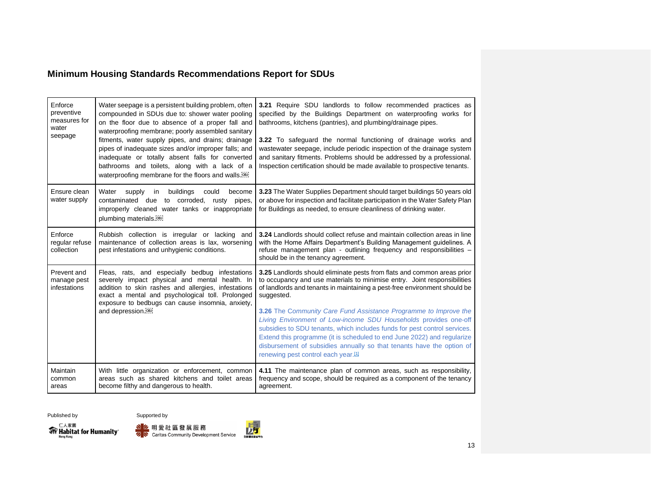| Enforce<br>preventive<br>measures for<br>water<br>seepage | Water seepage is a persistent building problem, often<br>compounded in SDUs due to: shower water pooling<br>on the floor due to absence of a proper fall and<br>waterproofing membrane; poorly assembled sanitary<br>fitments, water supply pipes, and drains; drainage<br>pipes of inadequate sizes and/or improper falls; and<br>inadequate or totally absent falls for converted<br>bathrooms and toilets, along with a lack of a<br>waterproofing membrane for the floors and walls. <sup>[08]</sup> | 3.21 Require SDU landlords to follow recommended practices as<br>specified by the Buildings Department on waterproofing works for<br>bathrooms, kitchens (pantries), and plumbing/drainage pipes.<br>3.22 To safeguard the normal functioning of drainage works and<br>wastewater seepage, include periodic inspection of the drainage system<br>and sanitary fitments. Problems should be addressed by a professional.<br>Inspection certification should be made available to prospective tenants.                                                                                                                                                                   |
|-----------------------------------------------------------|----------------------------------------------------------------------------------------------------------------------------------------------------------------------------------------------------------------------------------------------------------------------------------------------------------------------------------------------------------------------------------------------------------------------------------------------------------------------------------------------------------|------------------------------------------------------------------------------------------------------------------------------------------------------------------------------------------------------------------------------------------------------------------------------------------------------------------------------------------------------------------------------------------------------------------------------------------------------------------------------------------------------------------------------------------------------------------------------------------------------------------------------------------------------------------------|
| Ensure clean<br>water supply                              | buildings<br>Water<br>supply<br>in<br>become<br>could<br>contaminated due to corroded,<br>rusty pipes,<br>improperly cleaned water tanks or inappropriate<br>plumbing materials. <sup>[68]</sup>                                                                                                                                                                                                                                                                                                         | 3.23 The Water Supplies Department should target buildings 50 years old<br>or above for inspection and facilitate participation in the Water Safety Plan<br>for Buildings as needed, to ensure cleanliness of drinking water.                                                                                                                                                                                                                                                                                                                                                                                                                                          |
| Enforce<br>regular refuse<br>collection                   | Rubbish collection is irregular or lacking and<br>maintenance of collection areas is lax, worsening<br>pest infestations and unhygienic conditions.                                                                                                                                                                                                                                                                                                                                                      | 3.24 Landlords should collect refuse and maintain collection areas in line<br>with the Home Affairs Department's Building Management quidelines. A<br>refuse management plan - outlining frequency and responsibilities -<br>should be in the tenancy agreement.                                                                                                                                                                                                                                                                                                                                                                                                       |
| Prevent and<br>manage pest<br>infestations                | Fleas, rats, and especially bedbug infestations<br>severely impact physical and mental health. In<br>addition to skin rashes and allergies, infestations<br>exact a mental and psychological toll. Prolonged<br>exposure to bedbugs can cause insomnia, anxiety,<br>and depression. <sup>[08]</sup>                                                                                                                                                                                                      | <b>3.25</b> Landlords should eliminate pests from flats and common areas prior<br>to occupancy and use materials to minimise entry. Joint responsibilities<br>of landlords and tenants in maintaining a pest-free environment should be<br>suggested.<br>3.26 The Community Care Fund Assistance Programme to Improve the<br>Living Environment of Low-income SDU Households provides one-off<br>subsidies to SDU tenants, which includes funds for pest control services.<br>Extend this programme (it is scheduled to end June 2022) and regularize<br>disbursement of subsidies annually so that tenants have the option of<br>renewing pest control each year.[11] |
| Maintain<br>common<br>areas                               | With little organization or enforcement, common<br>areas such as shared kitchens and toilet areas<br>become filthy and dangerous to health.                                                                                                                                                                                                                                                                                                                                                              | 4.11 The maintenance plan of common areas, such as responsibility,<br>frequency and scope, should be required as a component of the tenancy<br>agreement.                                                                                                                                                                                                                                                                                                                                                                                                                                                                                                              |





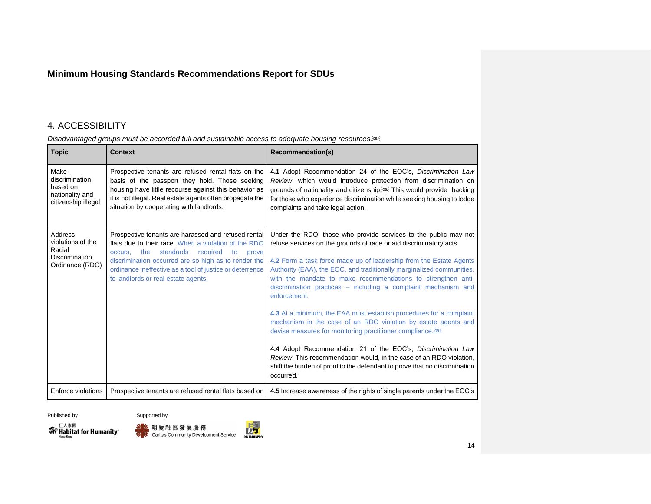## <span id="page-14-0"></span>4. ACCESSIBILITY

#### *Disadvantaged groups must be accorded full and sustainable access to adequate housing resources.*

| <b>Topic</b>                                                                       | <b>Context</b>                                                                                                                                                                                                                                                                                                                   | <b>Recommendation(s)</b>                                                                                                                                                                                                                                                                                                                                                                                                                                                                                                                                                                                                                                                                                                                                                                                                                                                                     |
|------------------------------------------------------------------------------------|----------------------------------------------------------------------------------------------------------------------------------------------------------------------------------------------------------------------------------------------------------------------------------------------------------------------------------|----------------------------------------------------------------------------------------------------------------------------------------------------------------------------------------------------------------------------------------------------------------------------------------------------------------------------------------------------------------------------------------------------------------------------------------------------------------------------------------------------------------------------------------------------------------------------------------------------------------------------------------------------------------------------------------------------------------------------------------------------------------------------------------------------------------------------------------------------------------------------------------------|
| Make<br>discrimination<br>based on<br>nationality and<br>citizenship illegal       | Prospective tenants are refused rental flats on the<br>basis of the passport they hold. Those seeking<br>housing have little recourse against this behavior as<br>it is not illegal. Real estate agents often propagate the<br>situation by cooperating with landlords.                                                          | 4.1 Adopt Recommendation 24 of the EOC's, Discrimination Law<br>Review, which would introduce protection from discrimination on<br>grounds of nationality and citizenship. <sup>[68]</sup> This would provide backing<br>for those who experience discrimination while seeking housing to lodge<br>complaints and take legal action.                                                                                                                                                                                                                                                                                                                                                                                                                                                                                                                                                         |
| Address<br>violations of the<br>Racial<br><b>Discrimination</b><br>Ordinance (RDO) | Prospective tenants are harassed and refused rental<br>flats due to their race. When a violation of the RDO<br>standards<br>the<br>required<br>occurs.<br>to<br>prove<br>discrimination occurred are so high as to render the<br>ordinance ineffective as a tool of justice or deterrence<br>to landlords or real estate agents. | Under the RDO, those who provide services to the public may not<br>refuse services on the grounds of race or aid discriminatory acts.<br>4.2 Form a task force made up of leadership from the Estate Agents<br>Authority (EAA), the EOC, and traditionally marginalized communities,<br>with the mandate to make recommendations to strengthen anti-<br>discrimination practices - including a complaint mechanism and<br>enforcement.<br>4.3 At a minimum, the EAA must establish procedures for a complaint<br>mechanism in the case of an RDO violation by estate agents and<br>devise measures for monitoring practitioner compliance. <sup>[68]</sup><br>4.4 Adopt Recommendation 21 of the EOC's, Discrimination Law<br>Review. This recommendation would, in the case of an RDO violation,<br>shift the burden of proof to the defendant to prove that no discrimination<br>occurred. |
| Enforce violations                                                                 | Prospective tenants are refused rental flats based on                                                                                                                                                                                                                                                                            | 4.5 Increase awareness of the rights of single parents under the EOC's                                                                                                                                                                                                                                                                                                                                                                                                                                                                                                                                                                                                                                                                                                                                                                                                                       |





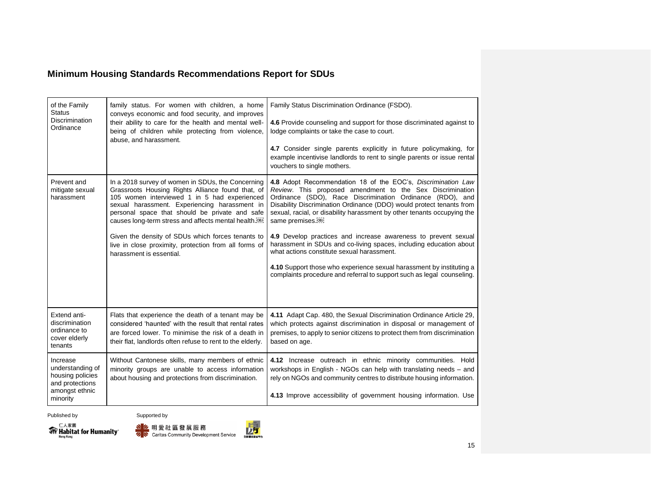| of the Family<br><b>Status</b><br><b>Discrimination</b><br>Ordinance                              | family status. For women with children, a home<br>conveys economic and food security, and improves<br>their ability to care for the health and mental well-<br>being of children while protecting from violence,<br>abuse, and harassment.                                                                                                                                                                                                                                | Family Status Discrimination Ordinance (FSDO).<br>4.6 Provide counseling and support for those discriminated against to<br>lodge complaints or take the case to court.<br>4.7 Consider single parents explicitly in future policymaking, for<br>example incentivise landlords to rent to single parents or issue rental<br>vouchers to single mothers.                                                                                                                                                                                                                                                                                                                                                              |
|---------------------------------------------------------------------------------------------------|---------------------------------------------------------------------------------------------------------------------------------------------------------------------------------------------------------------------------------------------------------------------------------------------------------------------------------------------------------------------------------------------------------------------------------------------------------------------------|---------------------------------------------------------------------------------------------------------------------------------------------------------------------------------------------------------------------------------------------------------------------------------------------------------------------------------------------------------------------------------------------------------------------------------------------------------------------------------------------------------------------------------------------------------------------------------------------------------------------------------------------------------------------------------------------------------------------|
| Prevent and<br>mitigate sexual<br>harassment                                                      | In a 2018 survey of women in SDUs, the Concerning<br>Grassroots Housing Rights Alliance found that, of<br>105 women interviewed 1 in 5 had experienced<br>sexual harassment. Experiencing harassment in<br>personal space that should be private and safe<br>causes long-term stress and affects mental health. <sup>[68]</sup><br>Given the density of SDUs which forces tenants to<br>live in close proximity, protection from all forms of<br>harassment is essential. | 4.8 Adopt Recommendation 18 of the EOC's, Discrimination Law<br>Review. This proposed amendment to the Sex Discrimination<br>Ordinance (SDO), Race Discrimination Ordinance (RDO), and<br>Disability Discrimination Ordinance (DDO) would protect tenants from<br>sexual, racial, or disability harassment by other tenants occupying the<br>same premises. <sup>[08]</sup><br>4.9 Develop practices and increase awareness to prevent sexual<br>harassment in SDUs and co-living spaces, including education about<br>what actions constitute sexual harassment.<br>4.10 Support those who experience sexual harassment by instituting a<br>complaints procedure and referral to support such as legal counseling. |
| Extend anti-<br>discrimination<br>ordinance to<br>cover elderly<br>tenants                        | Flats that experience the death of a tenant may be<br>considered 'haunted' with the result that rental rates<br>are forced lower. To minimise the risk of a death in<br>their flat, landlords often refuse to rent to the elderly.                                                                                                                                                                                                                                        | 4.11 Adapt Cap. 480, the Sexual Discrimination Ordinance Article 29,<br>which protects against discrimination in disposal or management of<br>premises, to apply to senior citizens to protect them from discrimination<br>based on age.                                                                                                                                                                                                                                                                                                                                                                                                                                                                            |
| Increase<br>understanding of<br>housing policies<br>and protections<br>amongst ethnic<br>minority | Without Cantonese skills, many members of ethnic<br>minority groups are unable to access information<br>about housing and protections from discrimination.                                                                                                                                                                                                                                                                                                                | 4.12 Increase outreach in ethnic minority communities. Hold<br>workshops in English - NGOs can help with translating needs - and<br>rely on NGOs and community centres to distribute housing information.<br>4.13 Improve accessibility of government housing information. Use                                                                                                                                                                                                                                                                                                                                                                                                                                      |





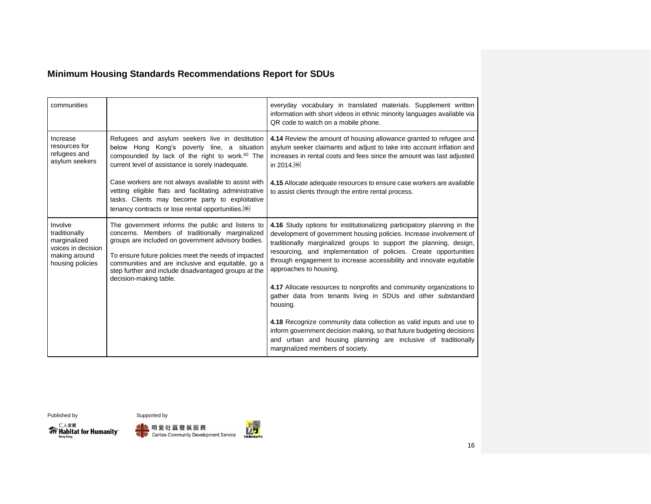| communities                                                                                         |                                                                                                                                                                                                                                                                                                                                                          | everyday vocabulary in translated materials. Supplement written<br>information with short videos in ethnic minority languages available via<br>QR code to watch on a mobile phone.                                                                                                                                                                                                        |
|-----------------------------------------------------------------------------------------------------|----------------------------------------------------------------------------------------------------------------------------------------------------------------------------------------------------------------------------------------------------------------------------------------------------------------------------------------------------------|-------------------------------------------------------------------------------------------------------------------------------------------------------------------------------------------------------------------------------------------------------------------------------------------------------------------------------------------------------------------------------------------|
| Increase<br>resources for<br>refugees and<br>asylum seekers                                         | Refugees and asylum seekers live in destitution<br>below Hong Kong's poverty line, a situation<br>compounded by lack of the right to work. <sup>60</sup> The<br>current level of assistance is sorely inadequate.                                                                                                                                        | 4.14 Review the amount of housing allowance granted to refugee and<br>asylum seeker claimants and adjust to take into account inflation and<br>increases in rental costs and fees since the amount was last adjusted<br>in 2014. <sup>08</sup>                                                                                                                                            |
|                                                                                                     | Case workers are not always available to assist with<br>vetting eligible flats and facilitating administrative<br>tasks. Clients may become party to exploitative<br>tenancy contracts or lose rental opportunities. <sup>[08]</sup>                                                                                                                     | 4.15 Allocate adequate resources to ensure case workers are available<br>to assist clients through the entire rental process.                                                                                                                                                                                                                                                             |
| Involve<br>traditionally<br>marginalized<br>voices in decision<br>making around<br>housing policies | The government informs the public and listens to<br>concerns. Members of traditionally marginalized<br>groups are included on government advisory bodies.<br>To ensure future policies meet the needs of impacted<br>communities and are inclusive and equitable, go a<br>step further and include disadvantaged groups at the<br>decision-making table. | 4.16 Study options for institutionalizing participatory planning in the<br>development of government housing policies. Increase involvement of<br>traditionally marginalized groups to support the planning, design,<br>resourcing, and implementation of policies. Create opportunities<br>through engagement to increase accessibility and innovate equitable<br>approaches to housing. |
|                                                                                                     |                                                                                                                                                                                                                                                                                                                                                          | 4.17 Allocate resources to nonprofits and community organizations to<br>gather data from tenants living in SDUs and other substandard<br>housing.                                                                                                                                                                                                                                         |
|                                                                                                     |                                                                                                                                                                                                                                                                                                                                                          | 4.18 Recognize community data collection as valid inputs and use to<br>inform government decision making, so that future budgeting decisions<br>and urban and housing planning are inclusive of traditionally<br>marginalized members of society.                                                                                                                                         |

 $\mathcal{H}^{\square\lambda\hat{\mathbf{x}}\mathbf{R}}_{\text{Hong Kong}}$ 



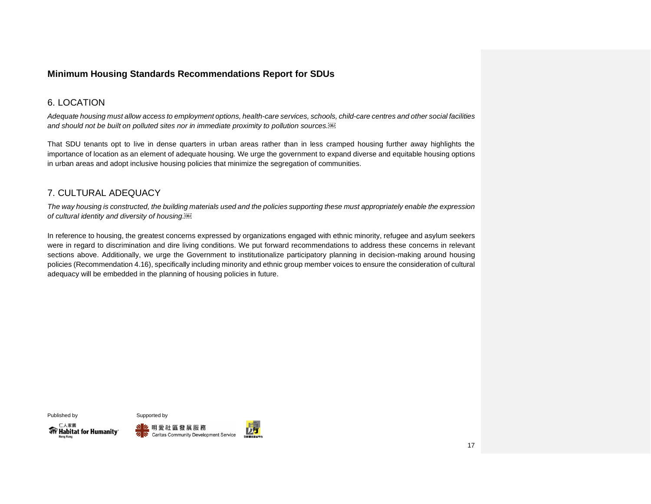#### <span id="page-17-0"></span>6. LOCATION

*Adequate housing must allow access to employment options, health-care services, schools, child-care centres and other social facilities and should not be built on polluted sites nor in immediate proximity to pollution sources.*

That SDU tenants opt to live in dense quarters in urban areas rather than in less cramped housing further away highlights the importance of location as an element of adequate housing. We urge the government to expand diverse and equitable housing options in urban areas and adopt inclusive housing policies that minimize the segregation of communities.

#### <span id="page-17-1"></span>7. CULTURAL ADEQUACY

*The way housing is constructed, the building materials used and the policies supporting these must appropriately enable the expression of cultural identity and diversity of housing.*

In reference to housing, the greatest concerns expressed by organizations engaged with ethnic minority, refugee and asylum seekers were in regard to discrimination and dire living conditions. We put forward recommendations to address these concerns in relevant sections above. Additionally, we urge the Government to institutionalize participatory planning in decision-making around housing policies (Recommendation 4.16), specifically including minority and ethnic group member voices to ensure the consideration of cultural adequacy will be embedded in the planning of housing policies in future.

仁人家園

**WF** Habitat for Humanity®